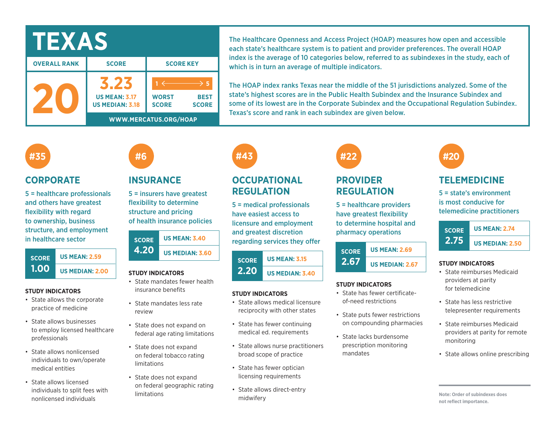| IEXAS               |                                                |                              |                             |  |  |
|---------------------|------------------------------------------------|------------------------------|-----------------------------|--|--|
| <b>OVERALL RANK</b> | <b>SCORE</b>                                   | <b>SCORE KEY</b>             |                             |  |  |
|                     | <b>US MEAN: 3.17</b><br><b>US MEDIAN: 3.18</b> | <b>WORST</b><br><b>SCORE</b> | <b>BEST</b><br><b>SCORE</b> |  |  |
|                     | WWW.MERCATUS.ORG/HOAP                          |                              |                             |  |  |

The Healthcare Openness and Access Project (HOAP) measures how open and accessible each state's healthcare system is to patient and provider preferences. The overall HOAP index is the average of 10 categories below, referred to as subindexes in the study, each of which is in turn an average of multiple indicators.

The HOAP index ranks Texas near the middle of the 51 jurisdictions analyzed. Some of the state's highest scores are in the Public Health Subindex and the Insurance Subindex and some of its lowest are in the Corporate Subindex and the Occupational Regulation Subindex. Texas's score and rank in each subindex are given below.

## **#35**

### **CORPORATE**

5 = healthcare professionals and others have greatest flexibility with regard to ownership, business structure, and employment in healthcare sector



#### **STUDY INDICATORS**

- State allows the corporate practice of medicine
- State allows businesses to employ licensed healthcare professionals
- State allows nonlicensed individuals to own/operate medical entities
- State allows licensed individuals to split fees with nonlicensed individuals

## **INSURANCE**

**#6**

5 = insurers have greatest flexibility to determine structure and pricing of health insurance policies

| <b>SCORE</b> | <b>US MEAN: 3.40</b>   |  |  |  |  |
|--------------|------------------------|--|--|--|--|
| <b>4.20</b>  | <b>US MEDIAN: 3.60</b> |  |  |  |  |

#### **STUDY INDICATORS**

- State mandates fewer health insurance benefits
- State mandates less rate review
- State does not expand on federal age rating limitations
- State does not expand on federal tobacco rating limitations
- State does not expand on federal geographic rating limitations



## **OCCUPATIONAL REGULATION**

5 = medical professionals have easiest access to licensure and employment and greatest discretion regarding services they offer

#### **SCORE 2.20 US MEAN: 3.15 US MEDIAN: 3.40**

#### **STUDY INDICATORS**

- State allows medical licensure reciprocity with other states
- State has fewer continuing medical ed. requirements
- State allows nurse practitioners broad scope of practice
- State has fewer optician licensing requirements
- State allows direct-entry midwifery

# **#22**

## **PROVIDER REGULATION**

5 = healthcare providers have greatest flexibility to determine hospital and pharmacy operations

**SCORE 2.67 US MEAN: 2.69 US MEDIAN: 2.67** 

#### **STUDY INDICATORS**

- State has fewer certificateof-need restrictions
- State puts fewer restrictions on compounding pharmacies
- State lacks burdensome prescription monitoring mandates



## **TELEMEDICINE**

5 = state's environment is most conducive for telemedicine practitioners



#### **STUDY INDICATORS**

- State reimburses Medicaid providers at parity for telemedicine
- State has less restrictive telepresenter requirements
- State reimburses Medicaid providers at parity for remote monitoring
- State allows online prescribing

**Note: Order of subindexes does not reflect importance.**